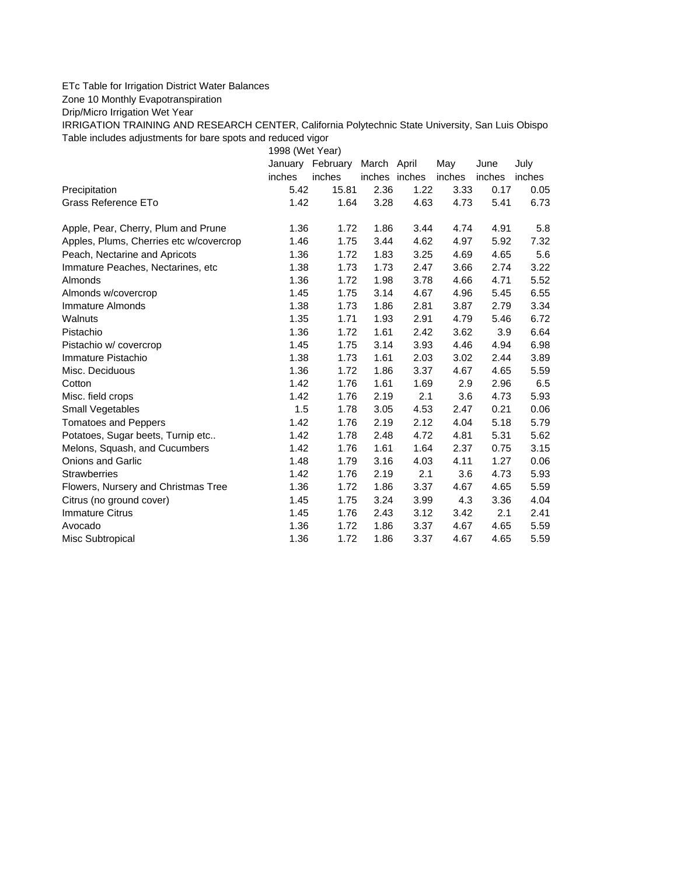## ETc Table for Irrigation District Water Balances

Zone 10 Monthly Evapotranspiration

Drip/Micro Irrigation Wet Year

IRRIGATION TRAINING AND RESEARCH CENTER, California Polytechnic State University, San Luis Obispo Table includes adjustments for bare spots and reduced vigor

1998 (Wet Year)

|                                         | January | February | March April   |      | May    | June   | July   |
|-----------------------------------------|---------|----------|---------------|------|--------|--------|--------|
|                                         | inches  | inches   | inches inches |      | inches | inches | inches |
| Precipitation                           | 5.42    | 15.81    | 2.36          | 1.22 | 3.33   | 0.17   | 0.05   |
| Grass Reference ETo                     | 1.42    | 1.64     | 3.28          | 4.63 | 4.73   | 5.41   | 6.73   |
| Apple, Pear, Cherry, Plum and Prune     | 1.36    | 1.72     | 1.86          | 3.44 | 4.74   | 4.91   | 5.8    |
| Apples, Plums, Cherries etc w/covercrop | 1.46    | 1.75     | 3.44          | 4.62 | 4.97   | 5.92   | 7.32   |
| Peach, Nectarine and Apricots           | 1.36    | 1.72     | 1.83          | 3.25 | 4.69   | 4.65   | 5.6    |
| Immature Peaches, Nectarines, etc       | 1.38    | 1.73     | 1.73          | 2.47 | 3.66   | 2.74   | 3.22   |
| Almonds                                 | 1.36    | 1.72     | 1.98          | 3.78 | 4.66   | 4.71   | 5.52   |
| Almonds w/covercrop                     | 1.45    | 1.75     | 3.14          | 4.67 | 4.96   | 5.45   | 6.55   |
| Immature Almonds                        | 1.38    | 1.73     | 1.86          | 2.81 | 3.87   | 2.79   | 3.34   |
| Walnuts                                 | 1.35    | 1.71     | 1.93          | 2.91 | 4.79   | 5.46   | 6.72   |
| Pistachio                               | 1.36    | 1.72     | 1.61          | 2.42 | 3.62   | 3.9    | 6.64   |
| Pistachio w/ covercrop                  | 1.45    | 1.75     | 3.14          | 3.93 | 4.46   | 4.94   | 6.98   |
| Immature Pistachio                      | 1.38    | 1.73     | 1.61          | 2.03 | 3.02   | 2.44   | 3.89   |
| Misc. Deciduous                         | 1.36    | 1.72     | 1.86          | 3.37 | 4.67   | 4.65   | 5.59   |
| Cotton                                  | 1.42    | 1.76     | 1.61          | 1.69 | 2.9    | 2.96   | 6.5    |
| Misc. field crops                       | 1.42    | 1.76     | 2.19          | 2.1  | 3.6    | 4.73   | 5.93   |
| Small Vegetables                        | 1.5     | 1.78     | 3.05          | 4.53 | 2.47   | 0.21   | 0.06   |
| <b>Tomatoes and Peppers</b>             | 1.42    | 1.76     | 2.19          | 2.12 | 4.04   | 5.18   | 5.79   |
| Potatoes, Sugar beets, Turnip etc       | 1.42    | 1.78     | 2.48          | 4.72 | 4.81   | 5.31   | 5.62   |
| Melons, Squash, and Cucumbers           | 1.42    | 1.76     | 1.61          | 1.64 | 2.37   | 0.75   | 3.15   |
| <b>Onions and Garlic</b>                | 1.48    | 1.79     | 3.16          | 4.03 | 4.11   | 1.27   | 0.06   |
| <b>Strawberries</b>                     | 1.42    | 1.76     | 2.19          | 2.1  | 3.6    | 4.73   | 5.93   |
| Flowers, Nursery and Christmas Tree     | 1.36    | 1.72     | 1.86          | 3.37 | 4.67   | 4.65   | 5.59   |
| Citrus (no ground cover)                | 1.45    | 1.75     | 3.24          | 3.99 | 4.3    | 3.36   | 4.04   |
| <b>Immature Citrus</b>                  | 1.45    | 1.76     | 2.43          | 3.12 | 3.42   | 2.1    | 2.41   |
| Avocado                                 | 1.36    | 1.72     | 1.86          | 3.37 | 4.67   | 4.65   | 5.59   |
| Misc Subtropical                        | 1.36    | 1.72     | 1.86          | 3.37 | 4.67   | 4.65   | 5.59   |